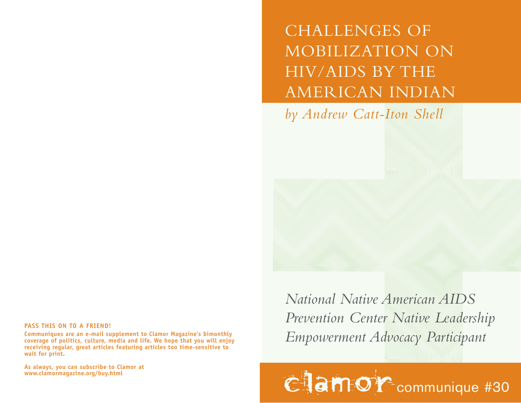CHALLENGES OF MOBILIZATION ON HIV/AIDS BY THE AMERICAN INDIAN

*by Andrew Catt-Iton Shell*

## **PASS THIS ON TO A FRIEND!**

**Communiques are an e-mail supplement to Clamor Magazine's bimonthly coverage of politics, culture, media and life. We hope that you will enjoy receiving regular, great articles featuring articles too time-sensitive to wait for print.** 

**As always, you can subscribe to Clamor at**

*National Native American AIDS Prevention Center Native Leadership Empowerment Advocacy Participant*

**Clamor** communique #30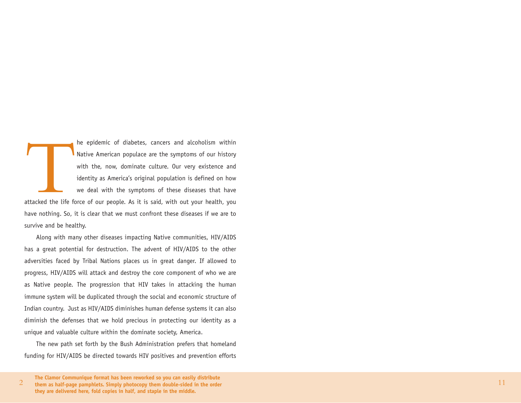he epidemic of diabetes, cancers and alcoholism within<br>Native American populace are the symptoms of our history<br>with the, now, dominate culture. Our very existence and<br>identity as America's original population is defined o attacked the life force of our people. As it is said, with out your health, you have nothing. So, it is clear that we must confront these diseases if we are to survive and be healthy.

Along with many other diseases impacting Native communities, HIV/AIDS has a great potential for destruction. The advent of HIV/AIDS to the other adversities faced by Tribal Nations places us in great danger. If allowed to progress, HIV/AIDS will attack and destroy the core component of who we are as Native people. The progression that HIV takes in attacking the human immune system will be duplicated through the social and economic structure of Indian country. Just as HIV/AIDS diminishes human defense systems it can also diminish the defenses that we hold precious in protecting our identity as a unique and valuable culture within the dominate society, America.

The new path set forth by the Bush Administration prefers that homeland funding for HIV/AIDS be directed towards HIV positives and prevention efforts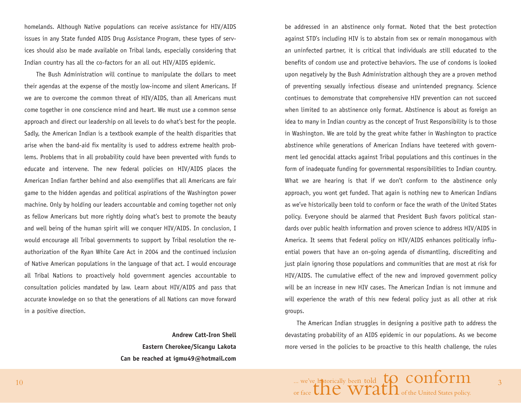ho melands. Although Native populations can receive assistance for HIV/AIDS issues in any State funded AIDS Drug Assistance Program, these types of services should also be made available on Tribal lands, especially considering that Indian country has all the co-factors for an all out HIV/AIDS epidemic.

The Bush Administration will continue to manipulate the dollars to meet their agendas at the expense of the mostly low-income and silent Americans. If we are to overcome the common threat of HIV/AIDS, than all Americans must come together in one conscience mind and heart. We must use a common sense approach and direct our leadership on all levels to do what's best for the people. Sadly, the American Indian is a textbook example of the health disparities that arise when the band-aid fix mentality is used to address extreme health problems. Problems that in all probability could have been prevented with funds to educate and intervene. The new federal policies on HIV/AIDS places the American Indian farther behind and also exemplifies that all Americans are fair game to the hidden agendas and political aspirations of the Washington power machine. Only by holding our leaders accountable and coming together not only as fellow Americans but more rightly doing what's best to promote the beauty and well being of the human spirit will we conquer HIV/AIDS. In conclusion, I would encourage all Tribal governments to support by Tribal resolution the reauthorization of the Ryan White Care Act in 2004 and the continued inclusion of Native American populations in the language of that act. I would encourage all Tribal Nations to proactively hold government agencies accountable to consultation policies mandated by law. Learn about HIV/AIDS and pass that accurate knowledge on so that the generations of all Nations can move forward in a positive direction.

> **Andrew Catt-Iron Shell Eastern Cherokee/Sicangu Lakota Can be reached at igmu49@hotmail.com**

be addressed in an abstinence only format. Noted that the best protection against STD's including HIV is to abstain from sex or remain monogamous with an uninfected partner, it is critical that individuals are still educated to the benefits of condom use and protective behaviors. The use of condoms is looked upon negatively by the Bush Administration although they are a proven method of preventing sexually infectious disease and unintended pregnancy. Science continues to demonstrate that comprehensive HIV prevention can not succeed when limited to an abstinence only format. Abstinence is about as foreign an idea to many in Indian country as the concept of Trust Responsibility is to those in Washington. We are told by the great white father in Washington to practice abstinence while generations of American Indians have teetered with government led genocidal attacks against Tribal populations and this continues in the form of inadequate funding for governmental responsibilities to Indian country. What we are hearing is that if we don't conform to the abstinence only approach, you wont get funded. That again is nothing new to American Indians as we've historically been told to conform or face the wrath of the United States policy. Everyone should be alarmed that President Bush favors political standards over public health information and proven science to address HIV/AIDS in America. It seems that Federal policy on HIV/AIDS enhances politically influential powers that have an on-going agenda of dismantling, discrediting and just plain ignoring those populations and communities that are most at risk for HIV/AIDS. The cumulative effect of the new and improved government policy will be an increase in new HIV cases. The American Indian is not immune and will experience the wrath of this new federal policy just as all other at risk groups.

The American Indian struggles in designing a positive path to address the devastating probability of an AIDS epidemic in our populations. As we become more versed in the policies to be proactive to this health challenge, the rules

3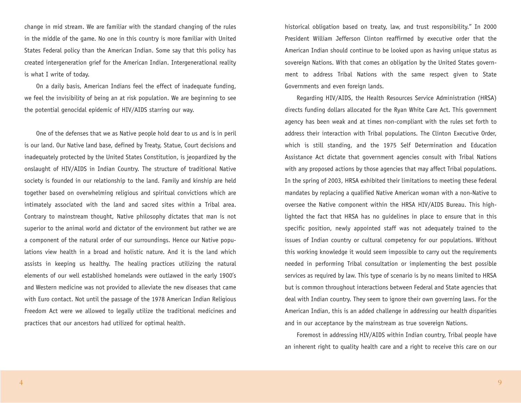change in mid stream. We are familiar with the standard changing of the rules in the middle of the game. No one in this country is more familiar with United States Federal policy than the American Indian. Some say that this policy has created intergeneration grief for the American Indian. Intergenerational reality is what I write of today.

On a daily basis, American Indians feel the effect of inadequate funding, we feel the invisibility of being an at risk population. We are beginning to see the potential genocidal epidemic of HIV/AIDS starring our way.

One of the defenses that we as Native people hold dear to us and is in peril is our land. Our Native land base, defined by Treaty, Statue, Court decisions and inadequately protected by the United States Constitution, is jeopardized by the onslaught of HIV/AIDS in Indian Country. The structure of traditional Native society is founded in our relationship to the land. Family and kinship are held together based on overwhelming religious and spiritual convictions which are intimately associated with the land and sacred sites within a Tribal area. Contrary to mainstream thought, Native philosophy dictates that man is not superior to the animal world and dictator of the environment but rather we are a component of the natural order of our surroundings. Hence our Native populations view health in a broad and holistic nature. And it is the land which assists in keeping us healthy. The healing practices utilizing the natural elements of our well established homelands were outlawed in the early 1900's and Western medicine was not provided to alleviate the new diseases that came with Euro contact. Not until the passage of the 1978 American Indian Religious Freedom Act were we allowed to legally utilize the traditional medicines and practices that our ancestors had utilized for optimal health.

historical obligation based on treaty, law, and trust responsibility." In 2000 President William Jefferson Clinton reaffirmed by executive order that the American Indian should continue to be looked upon as having unique status as sovereign Nations. With that comes an obligation by the United States government to address Tribal Nations with the same respect given to State Governments and even foreign lands.

Regarding HIV/AIDS, the Health Resources Service Administration (HRSA) directs funding dollars allocated for the Ryan White Care Act. This government agency has been weak and at times non-compliant with the rules set forth to address their interaction with Tribal populations. The Clinton Executive Order, which is still standing, and the 1975 Self Determination and Education Assistance Act dictate that government agencies consult with Tribal Nations with any proposed actions by those agencies that may affect Tribal populations. In the spring of 2003, HRSA exhibited their limitations to meeting these federal mandates by replacing a qualified Native American woman with a non-Native to oversee the Native component within the HRSA HIV/AIDS Bureau. This highlighted the fact that HRSA has no guidelines in place to ensure that in this specific position, newly appointed staff was not adequately trained to the issues of Indian country or cultural competency for our populations. Without this working knowledge it would seem impossible to carry out the requirements needed in performing Tribal consultation or implementing the best possible services as required by law. This type of scenario is by no means limited to HRSA but is common throughout interactions between Federal and State agencies that deal with Indian country. They seem to ignore their own governing laws. For the American Indian, this is an added challenge in addressing our health disparities and in our acceptance by the mainstream as true sovereign Nations.

Foremost in addressing HIV/AIDS within Indian country, Tribal people have an inherent right to quality health care and a right to receive this care on our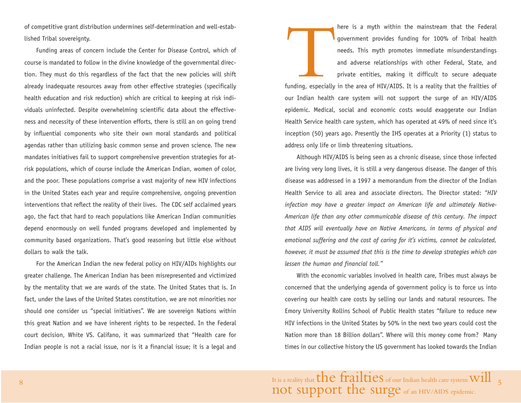of competitive grant distribution undermines self-determination and well-established Tribal sovereignty.

Funding areas of concern include the Center for Disease Control, which of course is mandated to follow in the divine knowledge of the governmental direction. They must do this regardless of the fact that the new policies will shift already inadequate resources away from other effective strategies (specifically health education and risk reduction) which are critical to keeping at risk individuals uninfected. Despite overwhelming scientific data about the effectiveness and necessity of these intervention efforts, there is still an on going trend by influential components who site their own moral standards and political agendas rather than utilizing basic common sense and proven science. The new mandates initiatives fail to support comprehensive prevention strategies for atrisk populations, which of course include the American Indian, women of color, and the poor. These populations comprise a vast majority of new HIV infections in the United States each year and require comprehensive, ongoing prevention interventions that reflect the reality of their lives. The CDC self acclaimed years ago, the fact that hard to reach populations like American Indian communities depend enormously on well funded programs developed and implemented by community based organizations. That's good reasoning but little else without dollars to walk the talk.

For the American Indian the new federal policy on HIV/AIDs highlights our greater challenge. The American Indian has been misrepresented and victimized by the mentality that we are wards of the state. The United States that is. In fact, under the laws of the United States constitution, we are not minorities nor should one consider us "special initiatives". We are sovereign Nations within this great Nation and we have inherent rights to be respected. In the Federal court decision, White VS. Califano, it was summarized that "Health care for Indian people is not a racial issue, nor is it a financial issue; it is a legal and

here is a myth within the mainstream that the Federal<br>government provides funding for 100% of Tribal health<br>needs. This myth promotes immediate misunderstandings<br>and adverse relationships with other Federal, State, and<br>pri funding, especially in the area of HIV/AIDS. It is a reality that the frailties of our Indian health care system will not support the surge of an HIV/AIDS epidemic. Medical, social and economic costs would exaggerate our Indian Health Service health care system, which has operated at 49% of need since it's inception (50) years ago. Presently the IHS operates at a Priority (1) status to address only life or limb threatening situations.

Although HIV/AIDS is being seen as a chronic disease, since those infected are living very long lives, it is still a very dangerous disease. The danger of this disease was addressed in a 1997 a memorandum from the director of the Indian Health Service to all area and associate directors. The Director stated: *"HIV infection may have a greater impact on American life and ultimately Native-American life than any other communicable disease of this century. The impact that AIDS will eventually have on Native Americans, in terms of physical and emotional suffering and the cost of caring for it's victims, cannot be calculated, however, it must be assumed that this is the time to develop strategies which can lessen the human and financial toll."*

With the economic variables involved in health care, Tribes must always be concerned that the underlying agenda of government policy is to force us into covering our health care costs by selling our lands and natural resources. The Emory University Rollins School of Public Health states "failure to reduce new HIV infections in the United States by 50% in the next two years could cost the Nation more than 18 Billion dollars". Where will this money come from? Many times in our collective history the US government has looked towards the Indian